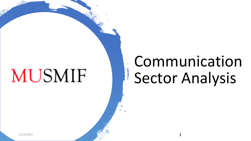# **MUSMIF**

## Communication Sector Analysis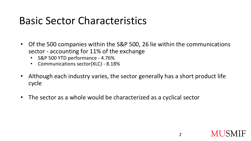### Basic Sector Characteristics

- Of the 500 companies within the S&P 500, 26 lie within the communications sector - accounting for 11% of the exchange
	- S&P 500 YTD performance 4.76%
	- Communications sector(XLC) 8.18%
- Although each industry varies, the sector generally has a short product life cycle
- The sector as a whole would be characterized as a cyclical sector

2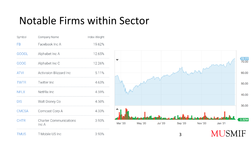### Notable Firms within Sector

| Symbol       | Company Name                           | Index Weight |
|--------------|----------------------------------------|--------------|
| FB           | Facebook Inc A                         | 19.62%       |
| <b>GOOGL</b> | Alphabet Inc A                         | 12.65%       |
| GOOG         | Alphabet Inc C                         | 12.26%       |
| <b>ATVI</b>  | <b>Activision Blizzard Inc</b>         | 5.11%        |
| <b>TWTR</b>  | Twitter Inc                            | 4.63%        |
| <b>NFLX</b>  | NetFlix Inc                            | 4.59%        |
| <b>DIS</b>   | Walt Disney Co                         | 4.50%        |
| <b>CMCSA</b> | Comcast Corp A                         | 4.33%        |
| <b>CHTR</b>  | <b>Charter Communications</b><br>Inc A | 3.93%        |
|              |                                        |              |



3

IF

Ml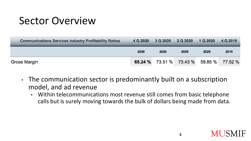### Sector Overview

| <b>Communications Services Industry Profitability Ratios</b> |      |      | 4 Q 2020 3 Q 2020 2 Q 2020 1 Q 2020            |      | 4 Q 2019 |
|--------------------------------------------------------------|------|------|------------------------------------------------|------|----------|
|                                                              | 2020 | 2020 | 2020                                           | 2020 | 2019     |
| <b>Gross Margin</b>                                          |      |      | <b>65.24 %</b> 73.51 % 73.43 % 59.85 % 77.52 % |      |          |

- The communication sector is predominantly built on a subscription model, and ad revenue
	- Within telecommunications most revenue still comes from basic telephone calls but is surely moving towards the bulk of dollars being made from data.



4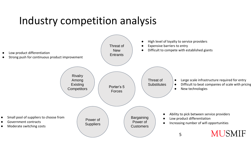### Industry competition analysis

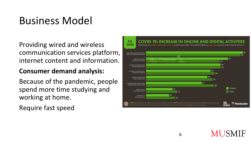### Business Model

#### Providing wired and wireless communication services platform, internet content and information.

#### **Consumer demand analysis:**

Because of the pandemic, people spend more time studying and working at home.

Require fast speed

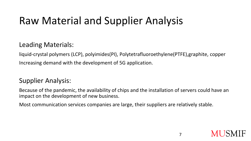### Raw Material and Supplier Analysis

#### Leading Materials:

liquid-crystal polymers (LCP), polyimides(PI), Polytetrafluoroethylene(PTFE),graphite, copper Increasing demand with the development of 5G application.

#### Supplier Analysis:

Because of the pandemic, the availability of chips and the installation of servers could have an impact on the development of new business.

Most communication services companies are large, their suppliers are relatively stable.



7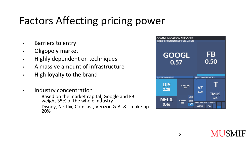### Factors Affecting pricing power

- Barriers to entry
- Oligopoly market
- Highly dependent on techniques
- A massive amount of infrastructure
- High loyalty to the brand
- Industry concentration Based on the market capital, Google and FB weight 35% of the whole industry Disney, Netflix, Comcast, Verizon & AT&T make up 20%

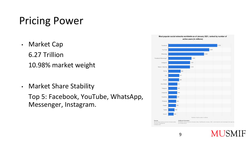### Pricing Power

- Market Cap 6.27 Trillion 10.98% market weight
- Market Share Stability

Top 5: Facebook, YouTube, WhatsApp, Messenger, Instagram.

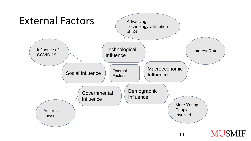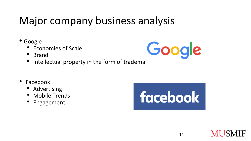### Major company business analysis

- Google
	- Economies of Scale
	- Brand



- Facebook
	- Advertising
	- Mobile Trends
	- **Engagement**



Google

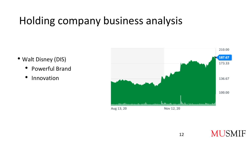### Holding company business analysis

- Walt Disney (DIS)
	- Powerful Brand
	- Innovation



**MUSMIF**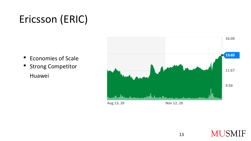### Ericsson (ERIC)

- Economies of Scale
- Strong Competitor Huawei



**MUSMIF**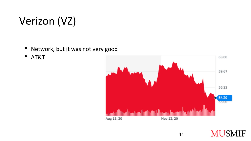### Verizon (VZ)

- Network, but it was not very good
- AT&T



**MUSMIF**